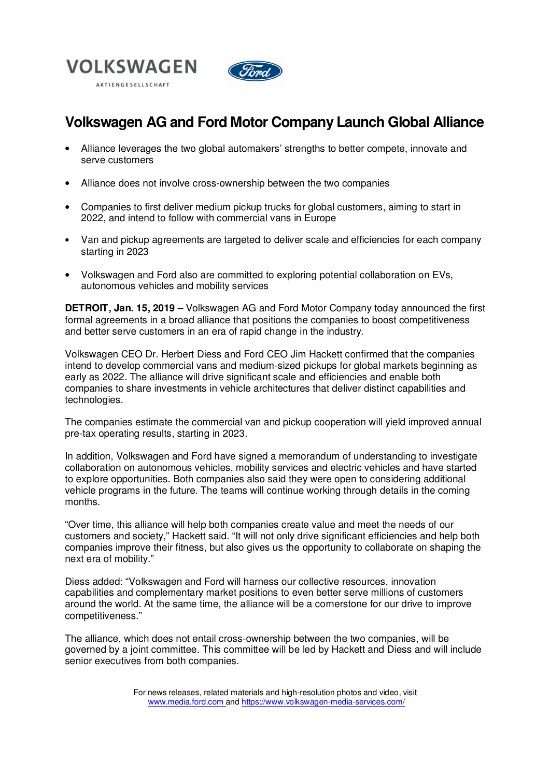



# **Volkswagen AG and Ford Motor Company Launch Global Alliance**

- Alliance leverages the two global automakers' strengths to better compete, innovate and serve customers
- Alliance does not involve cross-ownership between the two companies
- Companies to first deliver medium pickup trucks for global customers, aiming to start in 2022, and intend to follow with commercial vans in Europe
- Van and pickup agreements are targeted to deliver scale and efficiencies for each company starting in 2023
- Volkswagen and Ford also are committed to exploring potential collaboration on EVs, autonomous vehicles and mobility services

**DETROIT, Jan. 15, 2019 –** Volkswagen AG and Ford Motor Company today announced the first formal agreements in a broad alliance that positions the companies to boost competitiveness and better serve customers in an era of rapid change in the industry.

Volkswagen CEO Dr. Herbert Diess and Ford CEO Jim Hackett confirmed that the companies intend to develop commercial vans and medium-sized pickups for global markets beginning as early as 2022. The alliance will drive significant scale and efficiencies and enable both companies to share investments in vehicle architectures that deliver distinct capabilities and technologies.

The companies estimate the commercial van and pickup cooperation will yield improved annual pre-tax operating results, starting in 2023.

In addition, Volkswagen and Ford have signed a memorandum of understanding to investigate collaboration on autonomous vehicles, mobility services and electric vehicles and have started to explore opportunities. Both companies also said they were open to considering additional vehicle programs in the future. The teams will continue working through details in the coming months.

"Over time, this alliance will help both companies create value and meet the needs of our customers and society," Hackett said. "It will not only drive significant efficiencies and help both companies improve their fitness, but also gives us the opportunity to collaborate on shaping the next era of mobility."

Diess added: "Volkswagen and Ford will harness our collective resources, innovation capabilities and complementary market positions to even better serve millions of customers around the world. At the same time, the alliance will be a cornerstone for our drive to improve competitiveness."

The alliance, which does not entail cross-ownership between the two companies, will be governed by a joint committee. This committee will be led by Hackett and Diess and will include senior executives from both companies.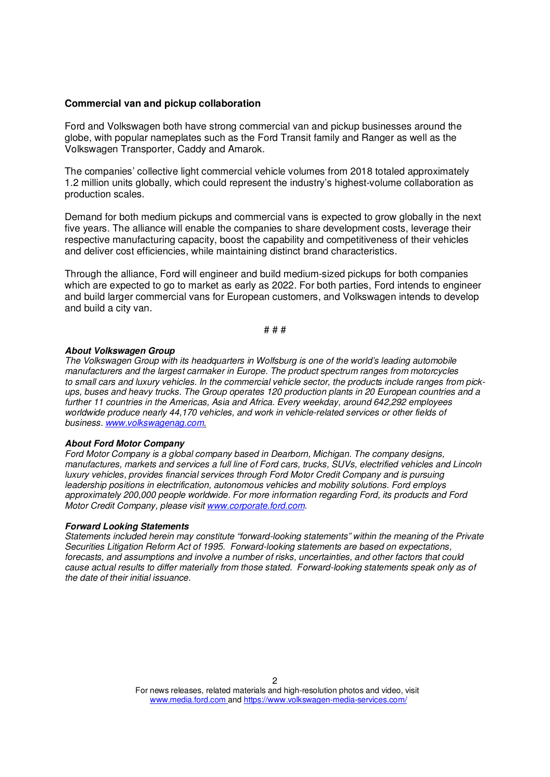### **Commercial van and pickup collaboration**

Ford and Volkswagen both have strong commercial van and pickup businesses around the globe, with popular nameplates such as the Ford Transit family and Ranger as well as the Volkswagen Transporter, Caddy and Amarok.

The companies' collective light commercial vehicle volumes from 2018 totaled approximately 1.2 million units globally, which could represent the industry's highest-volume collaboration as production scales.

Demand for both medium pickups and commercial vans is expected to grow globally in the next five years. The alliance will enable the companies to share development costs, leverage their respective manufacturing capacity, boost the capability and competitiveness of their vehicles and deliver cost efficiencies, while maintaining distinct brand characteristics.

Through the alliance, Ford will engineer and build medium-sized pickups for both companies which are expected to go to market as early as 2022. For both parties, Ford intends to engineer and build larger commercial vans for European customers, and Volkswagen intends to develop and build a city van.

# # #

#### **About Volkswagen Group**

The Volkswagen Group with its headquarters in Wolfsburg is one of the world's leading automobile manufacturers and the largest carmaker in Europe. The product spectrum ranges from motorcycles to small cars and luxury vehicles. In the commercial vehicle sector, the products include ranges from pickups, buses and heavy trucks. The Group operates 120 production plants in 20 European countries and a further 11 countries in the Americas, Asia and Africa. Every weekday, around 642,292 employees worldwide produce nearly 44,170 vehicles, and work in vehicle-related services or other fields of business. www.volkswagenag.com.

#### **About Ford Motor Company**

Ford Motor Company is a global company based in Dearborn, Michigan. The company designs, manufactures, markets and services a full line of Ford cars, trucks, SUVs, electrified vehicles and Lincoln luxury vehicles, provides financial services through Ford Motor Credit Company and is pursuing leadership positions in electrification, autonomous vehicles and mobility solutions. Ford employs approximately 200,000 people worldwide. For more information regarding Ford, its products and Ford Motor Credit Company, please visit www.corporate.ford.com.

#### **Forward Looking Statements**

Statements included herein may constitute "forward-looking statements" within the meaning of the Private Securities Litigation Reform Act of 1995. Forward-looking statements are based on expectations, forecasts, and assumptions and involve a number of risks, uncertainties, and other factors that could cause actual results to differ materially from those stated. Forward-looking statements speak only as of the date of their initial issuance.

For news releases, related materials and high-resolution photos and video, visit www.media.ford.com and https://www.volkswagen-media-services.com/